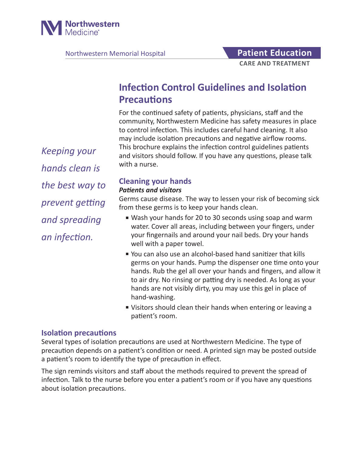

Northwestern Memorial Hospital **Patient Education** 

# **CARE AND TREATMENT**

# **Infection Control Guidelines and Isolation Precautions**

For the continued safety of patients, physicians, staff and the community, Northwestern Medicine has safety measures in place to control infection. This includes careful hand cleaning. It also may include isolation precautions and negative airflow rooms. This brochure explains the infection control guidelines patients and visitors should follow. If you have any questions, please talk with a nurse.

*Keeping your hands clean is the best way to prevent getting and spreading an infection.*

#### **Cleaning your hands** *Patients and visitors*

# Germs cause disease. The way to lessen your risk of becoming sick from these germs is to keep your hands clean.

- Wash your hands for 20 to 30 seconds using soap and warm water. Cover all areas, including between your fingers, under your fingernails and around your nail beds. Dry your hands well with a paper towel.
- You can also use an alcohol-based hand sanitizer that kills germs on your hands. Pump the dispenser one time onto your hands. Rub the gel all over your hands and fingers, and allow it to air dry. No rinsing or patting dry is needed. As long as your hands are not visibly dirty, you may use this gel in place of hand-washing.
- Visitors should clean their hands when entering or leaving a patient's room.

# **Isolation precautions**

Several types of isolation precautions are used at Northwestern Medicine. The type of precaution depends on a patient's condition or need. A printed sign may be posted outside a patient's room to identify the type of precaution in effect.

The sign reminds visitors and staff about the methods required to prevent the spread of infection. Talk to the nurse before you enter a patient's room or if you have any questions about isolation precautions.